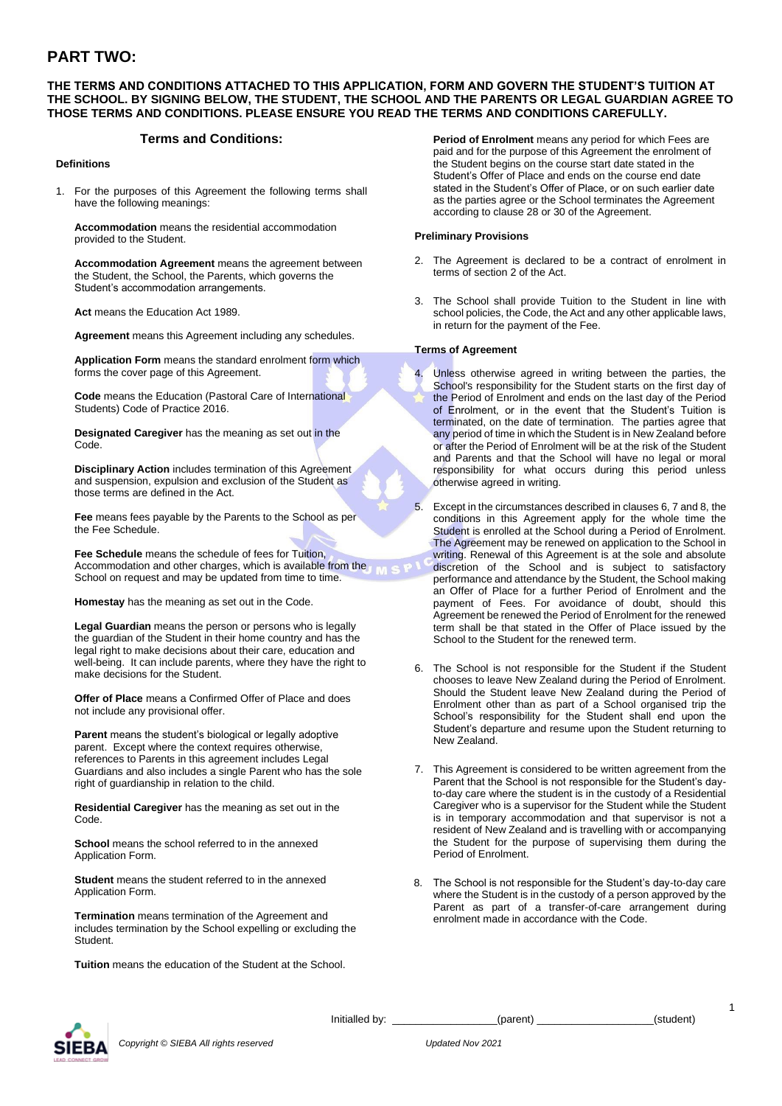# **PART TWO:**

# **THE TERMS AND CONDITIONS ATTACHED TO THIS APPLICATION, FORM AND GOVERN THE STUDENT'S TUITION AT THE SCHOOL. BY SIGNING BELOW, THE STUDENT, THE SCHOOL AND THE PARENTS OR LEGAL GUARDIAN AGREE TO THOSE TERMS AND CONDITIONS. PLEASE ENSURE YOU READ THE TERMS AND CONDITIONS CAREFULLY.**

# **Terms and Conditions:**

#### **Definitions**

1. For the purposes of this Agreement the following terms shall have the following meanings:

**Accommodation** means the residential accommodation provided to the Student.

**Accommodation Agreement** means the agreement between the Student, the School, the Parents, which governs the Student's accommodation arrangements.

**Act** means the Education Act 1989.

**Agreement** means this Agreement including any schedules.

**Application Form** means the standard enrolment form which forms the cover page of this Agreement.

**Code** means the Education (Pastoral Care of International Students) Code of Practice 2016.

**Designated Caregiver** has the meaning as set out in the Code.

**Disciplinary Action** includes termination of this Agreement and suspension, expulsion and exclusion of the Student as those terms are defined in the Act.

**Fee** means fees payable by the Parents to the School as per the Fee Schedule.

**Fee Schedule** means the schedule of fees for Tuition, **Pee Schedule Highly and other charges, which is available from the NILS P** School on request and may be updated from time to time.

**Homestay** has the meaning as set out in the Code.

**Legal Guardian** means the person or persons who is legally the guardian of the Student in their home country and has the legal right to make decisions about their care, education and well-being. It can include parents, where they have the right to make decisions for the Student.

**Offer of Place** means a Confirmed Offer of Place and does not include any provisional offer.

**Parent** means the student's biological or legally adoptive parent. Except where the context requires otherwise, references to Parents in this agreement includes Legal Guardians and also includes a single Parent who has the sole right of guardianship in relation to the child.

**Residential Caregiver** has the meaning as set out in the Code.

**School** means the school referred to in the annexed Application Form.

**Student** means the student referred to in the annexed Application Form.

**Termination** means termination of the Agreement and includes termination by the School expelling or excluding the Student.

**Tuition** means the education of the Student at the School.

**Period of Enrolment** means any period for which Fees are paid and for the purpose of this Agreement the enrolment of the Student begins on the course start date stated in the Student's Offer of Place and ends on the course end date stated in the Student's Offer of Place, or on such earlier date as the parties agree or the School terminates the Agreement according to clause 28 or 30 of the Agreement.

#### **Preliminary Provisions**

- 2. The Agreement is declared to be a contract of enrolment in terms of section 2 of the Act.
- 3. The School shall provide Tuition to the Student in line with school policies, the Code, the Act and any other applicable laws, in return for the payment of the Fee.

#### **Terms of Agreement**

- 4. Unless otherwise agreed in writing between the parties, the School's responsibility for the Student starts on the first day of the Period of Enrolment and ends on the last day of the Period of Enrolment, or in the event that the Student's Tuition is terminated, on the date of termination. The parties agree that any period of time in which the Student is in New Zealand before or after the Period of Enrolment will be at the risk of the Student and Parents and that the School will have no legal or moral responsibility for what occurs during this period unless otherwise agreed in writing.
- 5. Except in the circumstances described in clauses 6, 7 and 8, the conditions in this Agreement apply for the whole time the Student is enrolled at the School during a Period of Enrolment. The Agreement may be renewed on application to the School in writing. Renewal of this Agreement is at the sole and absolute discretion of the School and is subject to satisfactory performance and attendance by the Student, the School making an Offer of Place for a further Period of Enrolment and the payment of Fees. For avoidance of doubt, should this Agreement be renewed the Period of Enrolment for the renewed term shall be that stated in the Offer of Place issued by the School to the Student for the renewed term.
- 6. The School is not responsible for the Student if the Student chooses to leave New Zealand during the Period of Enrolment. Should the Student leave New Zealand during the Period of Enrolment other than as part of a School organised trip the School's responsibility for the Student shall end upon the Student's departure and resume upon the Student returning to New Zealand.
- 7. This Agreement is considered to be written agreement from the Parent that the School is not responsible for the Student's dayto-day care where the student is in the custody of a Residential Caregiver who is a supervisor for the Student while the Student is in temporary accommodation and that supervisor is not a resident of New Zealand and is travelling with or accompanying the Student for the purpose of supervising them during the Period of Enrolment.
- 8. The School is not responsible for the Student's day-to-day care where the Student is in the custody of a person approved by the Parent as part of a transfer-of-care arrangement during enrolment made in accordance with the Code.



*Copyright © SIEBA All rights reserved Updated Nov 2021*

Initialled by: \_\_\_\_\_\_\_\_\_\_\_\_\_\_\_\_\_\_(parent) \_\_\_\_\_\_\_\_\_\_\_\_\_\_\_\_\_\_\_\_(student)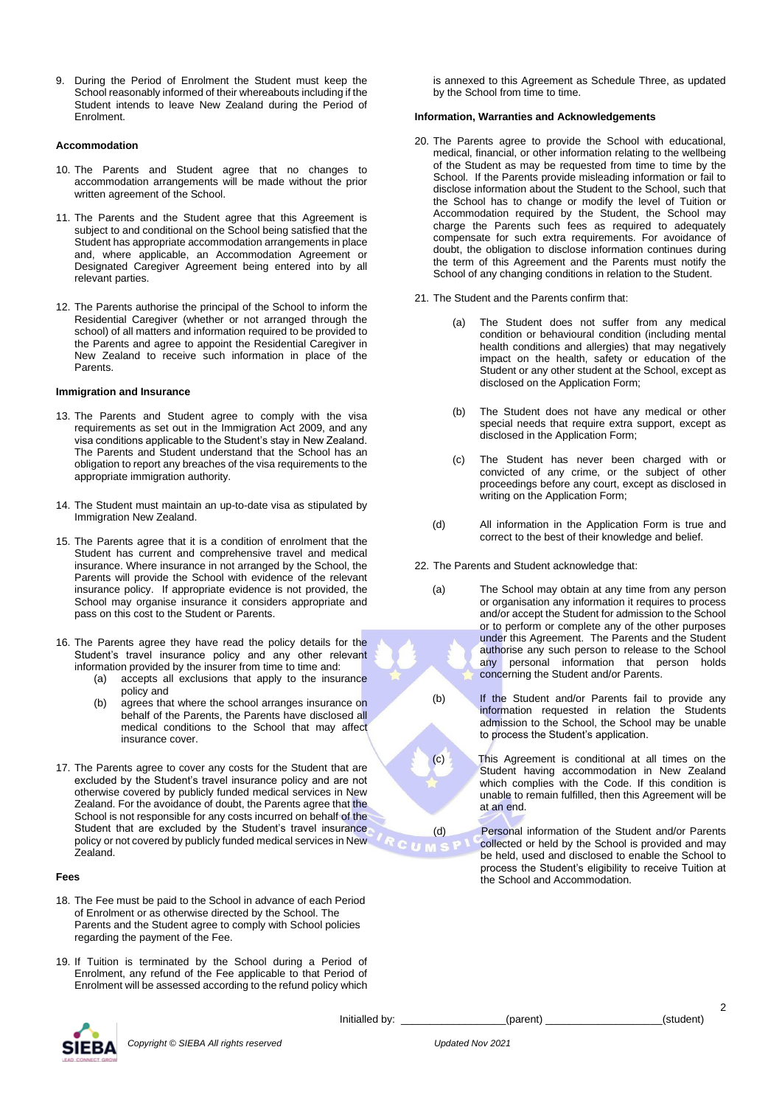9. During the Period of Enrolment the Student must keep the School reasonably informed of their whereabouts including if the Student intends to leave New Zealand during the Period of Enrolment.

#### **Accommodation**

- 10. The Parents and Student agree that no changes to accommodation arrangements will be made without the prior written agreement of the School.
- 11. The Parents and the Student agree that this Agreement is subject to and conditional on the School being satisfied that the Student has appropriate accommodation arrangements in place and, where applicable, an Accommodation Agreement or Designated Caregiver Agreement being entered into by all relevant parties.
- 12. The Parents authorise the principal of the School to inform the Residential Caregiver (whether or not arranged through the school) of all matters and information required to be provided to the Parents and agree to appoint the Residential Caregiver in New Zealand to receive such information in place of the Parents.

#### **Immigration and Insurance**

- 13. The Parents and Student agree to comply with the visa requirements as set out in the Immigration Act 2009, and any visa conditions applicable to the Student's stay in New Zealand. The Parents and Student understand that the School has an obligation to report any breaches of the visa requirements to the appropriate immigration authority.
- 14. The Student must maintain an up-to-date visa as stipulated by Immigration New Zealand.
- 15. The Parents agree that it is a condition of enrolment that the Student has current and comprehensive travel and medical insurance. Where insurance in not arranged by the School, the Parents will provide the School with evidence of the relevant insurance policy. If appropriate evidence is not provided, the School may organise insurance it considers appropriate and pass on this cost to the Student or Parents.
- 16. The Parents agree they have read the policy details for the Student's travel insurance policy and any other relevant information provided by the insurer from time to time and:
	- (a) accepts all exclusions that apply to the insurance policy and
	- (b) agrees that where the school arranges insurance on behalf of the Parents, the Parents have disclosed all medical conditions to the School that may affect insurance cover.
- 17. The Parents agree to cover any costs for the Student that are excluded by the Student's travel insurance policy and are not otherwise covered by publicly funded medical services in New Zealand. For the avoidance of doubt, the Parents agree that the School is not responsible for any costs incurred on behalf of the Student that are excluded by the Student's travel insurance policy or not covered by publicly funded medical services in New Zealand.

#### **Fees**

- 18. The Fee must be paid to the School in advance of each Period of Enrolment or as otherwise directed by the School. The Parents and the Student agree to comply with School policies regarding the payment of the Fee.
- 19. If Tuition is terminated by the School during a Period of Enrolment, any refund of the Fee applicable to that Period of Enrolment will be assessed according to the refund policy which

is annexed to this Agreement as Schedule Three, as updated by the School from time to time.

#### **Information, Warranties and Acknowledgements**

- 20. The Parents agree to provide the School with educational, medical, financial, or other information relating to the wellbeing of the Student as may be requested from time to time by the School. If the Parents provide misleading information or fail to disclose information about the Student to the School, such that the School has to change or modify the level of Tuition or Accommodation required by the Student, the School may charge the Parents such fees as required to adequately compensate for such extra requirements. For avoidance of doubt, the obligation to disclose information continues during the term of this Agreement and the Parents must notify the School of any changing conditions in relation to the Student.
- 21. The Student and the Parents confirm that:
	- (a) The Student does not suffer from any medical condition or behavioural condition (including mental health conditions and allergies) that may negatively impact on the health, safety or education of the Student or any other student at the School, except as disclosed on the Application Form;
	- (b) The Student does not have any medical or other special needs that require extra support, except as disclosed in the Application Form;
	- (c) The Student has never been charged with or convicted of any crime, or the subject of other proceedings before any court, except as disclosed in writing on the Application Form;
	- (d) All information in the Application Form is true and correct to the best of their knowledge and belief.
- 22. The Parents and Student acknowledge that:
	- (a) The School may obtain at any time from any person or organisation any information it requires to process and/or accept the Student for admission to the School or to perform or complete any of the other purposes under this Agreement. The Parents and the Student authorise any such person to release to the School any personal information that person holds concerning the Student and/or Parents.
	- (b) If the Student and/or Parents fail to provide any information requested in relation the Students admission to the School, the School may be unable to process the Student's application.
	- (c) This Agreement is conditional at all times on the Student having accommodation in New Zealand which complies with the Code. If this condition is unable to remain fulfilled, then this Agreement will be at an end.
	- (d) Personal information of the Student and/or Parents collected or held by the School is provided and may be held, used and disclosed to enable the School to process the Student's eligibility to receive Tuition at the School and Accommodation.



Initialled by: \_\_\_\_\_\_\_\_\_\_\_\_\_\_\_\_\_(parent) \_\_\_\_\_\_\_\_\_\_\_\_\_\_\_\_\_\_(student)

 $\sum_{i=1}^{n}$ 

 $\mathfrak{p}$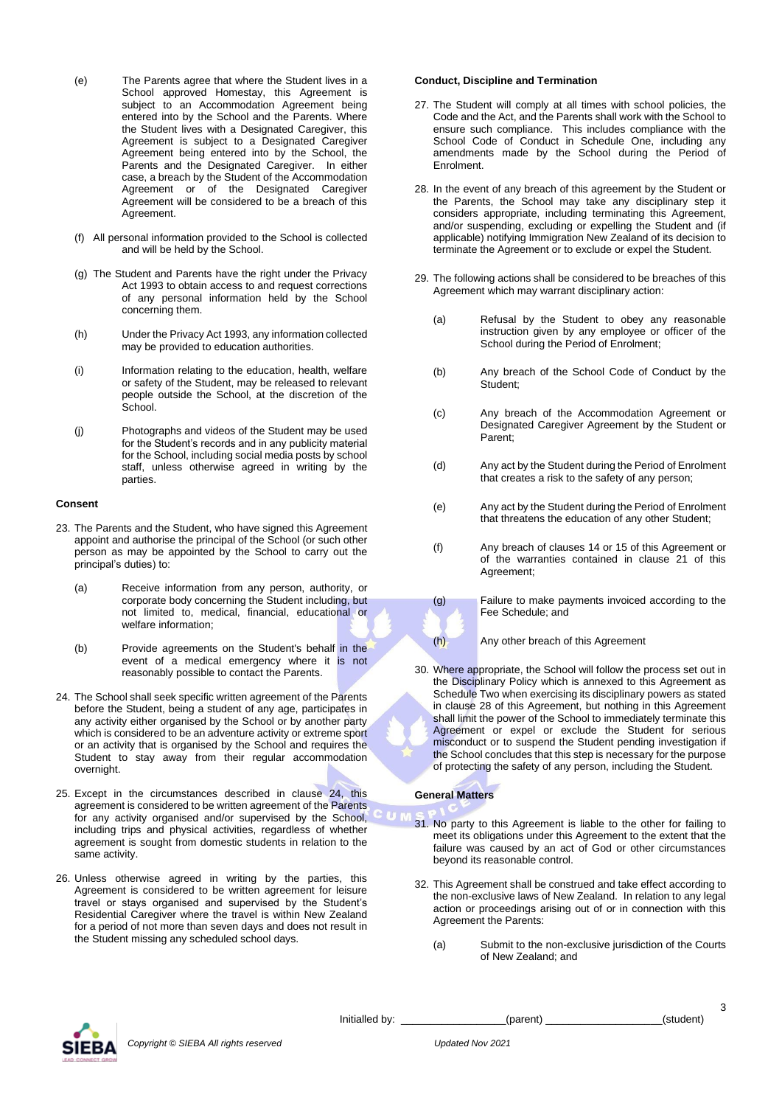- (e) The Parents agree that where the Student lives in a School approved Homestay, this Agreement is subject to an Accommodation Agreement being entered into by the School and the Parents. Where the Student lives with a Designated Caregiver, this Agreement is subject to a Designated Caregiver Agreement being entered into by the School, the Parents and the Designated Caregiver. In either case, a breach by the Student of the Accommodation Agreement or of the Designated Caregiver Agreement will be considered to be a breach of this Agreement.
- (f) All personal information provided to the School is collected and will be held by the School.
- (g) The Student and Parents have the right under the Privacy Act 1993 to obtain access to and request corrections of any personal information held by the School concerning them.
- (h) Under the Privacy Act 1993, any information collected may be provided to education authorities.
- (i) Information relating to the education, health, welfare or safety of the Student, may be released to relevant people outside the School, at the discretion of the School.
- (j) Photographs and videos of the Student may be used for the Student's records and in any publicity material for the School, including social media posts by school staff, unless otherwise agreed in writing by the parties.

#### **Consent**

- 23. The Parents and the Student, who have signed this Agreement appoint and authorise the principal of the School (or such other person as may be appointed by the School to carry out the principal's duties) to:
	- (a) Receive information from any person, authority, or corporate body concerning the Student including, but not limited to, medical, financial, educational or welfare information;
	- (b) Provide agreements on the Student's behalf in the event of a medical emergency where it is not reasonably possible to contact the Parents.
- 24. The School shall seek specific written agreement of the Parents before the Student, being a student of any age, participates in any activity either organised by the School or by another party which is considered to be an adventure activity or extreme sport or an activity that is organised by the School and requires the Student to stay away from their regular accommodation overnight.
- 25. Except in the circumstances described in clause 24, this agreement is considered to be written agreement of the Parents for any activity organised and/or supervised by the School, including trips and physical activities, regardless of whether agreement is sought from domestic students in relation to the same activity.
- 26. Unless otherwise agreed in writing by the parties, this Agreement is considered to be written agreement for leisure travel or stays organised and supervised by the Student's Residential Caregiver where the travel is within New Zealand for a period of not more than seven days and does not result in the Student missing any scheduled school days.

#### **Conduct, Discipline and Termination**

- 27. The Student will comply at all times with school policies, the Code and the Act, and the Parents shall work with the School to ensure such compliance. This includes compliance with the School Code of Conduct in Schedule One, including any amendments made by the School during the Period of Enrolment.
- 28. In the event of any breach of this agreement by the Student or the Parents, the School may take any disciplinary step it considers appropriate, including terminating this Agreement, and/or suspending, excluding or expelling the Student and (if applicable) notifying Immigration New Zealand of its decision to terminate the Agreement or to exclude or expel the Student.
- 29. The following actions shall be considered to be breaches of this Agreement which may warrant disciplinary action:
	- (a) Refusal by the Student to obey any reasonable instruction given by any employee or officer of the School during the Period of Enrolment;
	- (b) Any breach of the School Code of Conduct by the Student;
	- (c) Any breach of the Accommodation Agreement or Designated Caregiver Agreement by the Student or Parent;
	- (d) Any act by the Student during the Period of Enrolment that creates a risk to the safety of any person;
	- (e) Any act by the Student during the Period of Enrolment that threatens the education of any other Student;
	- (f) Any breach of clauses 14 or 15 of this Agreement or of the warranties contained in clause 21 of this Agreement;
	- (g) Failure to make payments invoiced according to the Fee Schedule; and

(h) Any other breach of this Agreement

30. Where appropriate, the School will follow the process set out in the Disciplinary Policy which is annexed to this Agreement as Schedule Two when exercising its disciplinary powers as stated in clause 28 of this Agreement, but nothing in this Agreement shall limit the power of the School to immediately terminate this Agreement or expel or exclude the Student for serious misconduct or to suspend the Student pending investigation if the School concludes that this step is necessary for the purpose of protecting the safety of any person, including the Student.

#### **General Matters**

- 31. No party to this Agreement is liable to the other for failing to meet its obligations under this Agreement to the extent that the failure was caused by an act of God or other circumstances beyond its reasonable control.
- 32. This Agreement shall be construed and take effect according to the non-exclusive laws of New Zealand. In relation to any legal action or proceedings arising out of or in connection with this Agreement the Parents:
	- (a) Submit to the non-exclusive jurisdiction of the Courts of New Zealand; and



*Copyright © SIEBA All rights reserved Updated Nov 2021*

Initialled by: \_\_\_\_\_\_\_\_\_\_\_\_\_\_\_\_\_\_(parent) \_\_\_\_\_\_\_\_\_\_\_\_\_\_\_\_\_\_\_\_(student)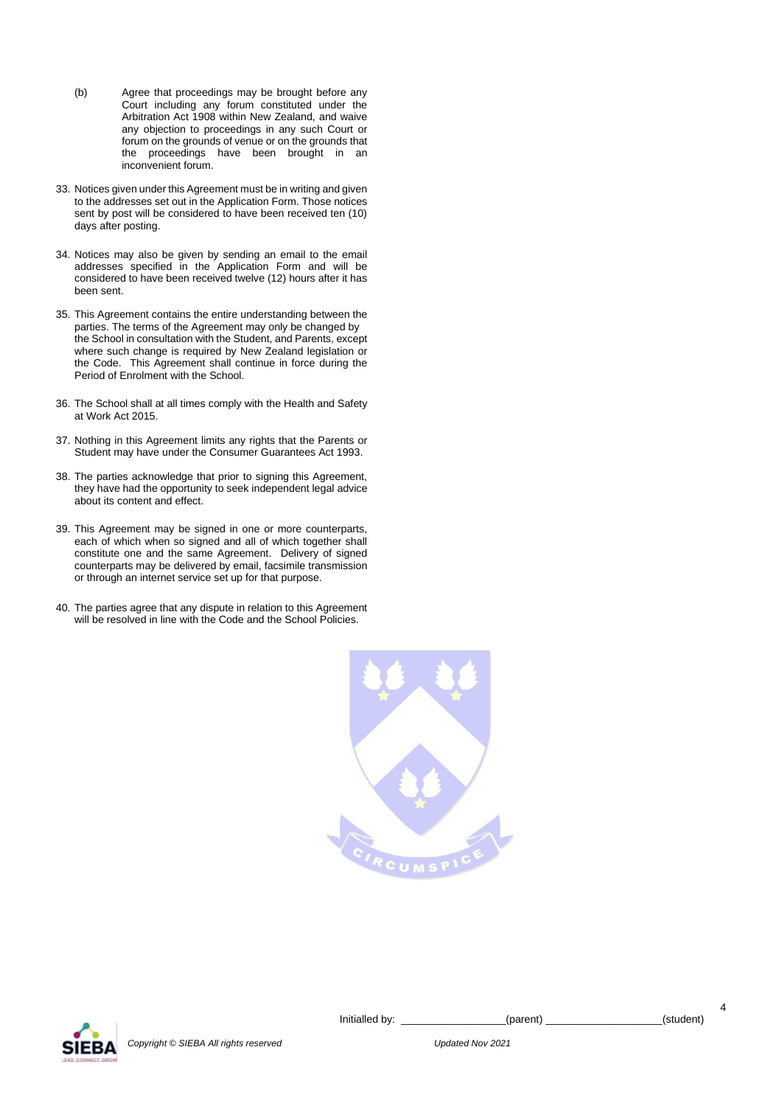- (b) Agree that proceedings may be brought before any Court including any forum constituted under the Arbitration Act 1908 within New Zealand, and waive any objection to proceedings in any such Court or forum on the grounds of venue or on the grounds that the proceedings have been brought in an inconvenient forum.
- 33. Notices given under this Agreement must be in writing and given to the addresses set out in the Application Form. Those notices sent by post will be considered to have been received ten (10) days after posting.
- 34. Notices may also be given by sending an email to the email addresses specified in the Application Form and will be considered to have been received twelve (12) hours after it has been sent.
- 35. This Agreement contains the entire understanding between the parties. The terms of the Agreement may only be changed by the School in consultation with the Student, and Parents, except where such change is required by New Zealand legislation or the Code. This Agreement shall continue in force during the Period of Enrolment with the School.
- 36. The School shall at all times comply with the Health and Safety at Work Act 2015.
- 37. Nothing in this Agreement limits any rights that the Parents or Student may have under the Consumer Guarantees Act 1993.
- 38. The parties acknowledge that prior to signing this Agreement, they have had the opportunity to seek independent legal advice about its content and effect.
- 39. This Agreement may be signed in one or more counterparts, each of which when so signed and all of which together shall constitute one and the same Agreement. Delivery of signed counterparts may be delivered by email, facsimile transmission or through an internet service set up for that purpose.
- 40. The parties agree that any dispute in relation to this Agreement will be resolved in line with the Code and the School Policies.





*Copyright © SIEBA All rights reserved Updated Nov 2021*

Initialled by: \_\_\_\_\_\_\_\_\_\_\_\_\_\_\_\_\_\_(parent) \_\_\_\_\_\_\_\_\_\_\_\_\_\_\_\_\_\_\_\_(student)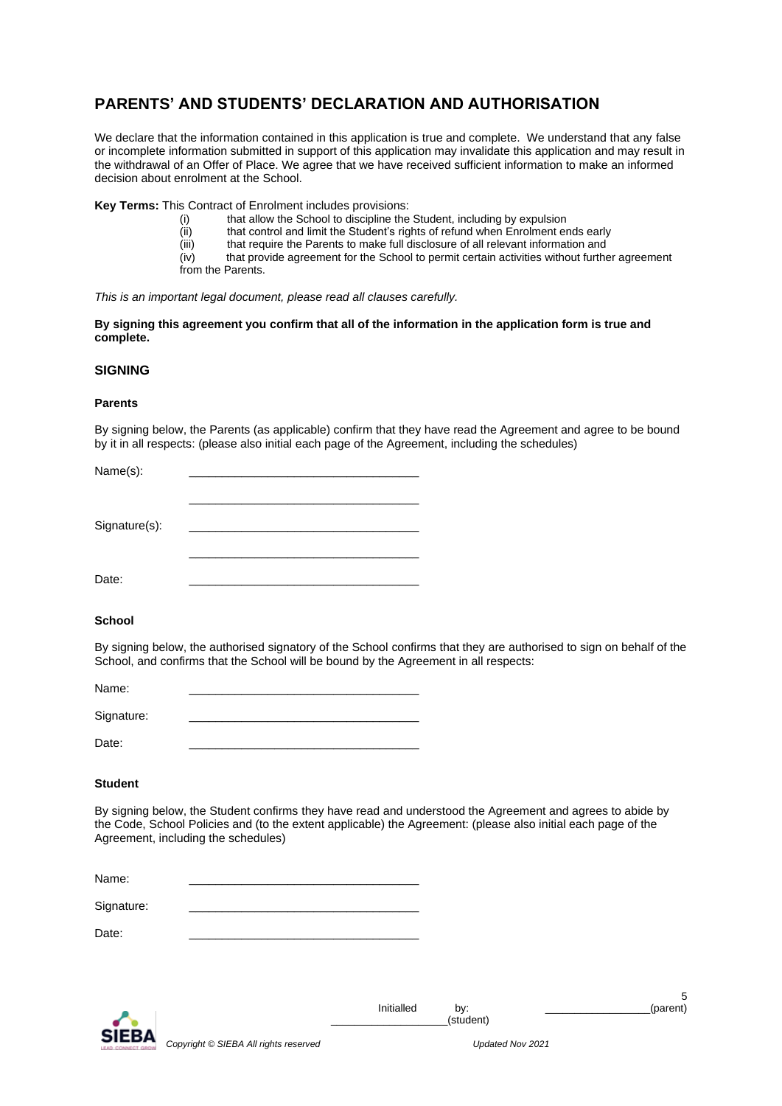# **PARENTS' AND STUDENTS' DECLARATION AND AUTHORISATION**

We declare that the information contained in this application is true and complete. We understand that any false or incomplete information submitted in support of this application may invalidate this application and may result in the withdrawal of an Offer of Place. We agree that we have received sufficient information to make an informed decision about enrolment at the School.

**Key Terms:** This Contract of Enrolment includes provisions:

- (i) that allow the School to discipline the Student, including by expulsion
- (ii) that control and limit the Student's rights of refund when Enrolment ends early<br>(iii) that require the Parents to make full disclosure of all relevant information and
- that require the Parents to make full disclosure of all relevant information and
- (iv) that provide agreement for the School to permit certain activities without further agreement from the Parents.

*This is an important legal document, please read all clauses carefully.*

**By signing this agreement you confirm that all of the information in the application form is true and complete.**

# **SIGNING**

# **Parents**

By signing below, the Parents (as applicable) confirm that they have read the Agreement and agree to be bound by it in all respects: (please also initial each page of the Agreement, including the schedules)

| Name(s):      |  |
|---------------|--|
|               |  |
|               |  |
| Signature(s): |  |
|               |  |
|               |  |
| Date:         |  |

# **School**

By signing below, the authorised signatory of the School confirms that they are authorised to sign on behalf of the School, and confirms that the School will be bound by the Agreement in all respects:

| Name:      |  |
|------------|--|
| Signature: |  |
| Date:      |  |

# **Student**

By signing below, the Student confirms they have read and understood the Agreement and agrees to abide by the Code, School Policies and (to the extent applicable) the Agreement: (please also initial each page of the Agreement, including the schedules)

| Name: |  |
|-------|--|
|       |  |

Signature:

Date: \_\_\_\_\_\_\_\_\_\_\_\_\_\_\_\_\_\_\_\_\_\_\_\_\_\_\_\_\_\_\_\_\_\_\_

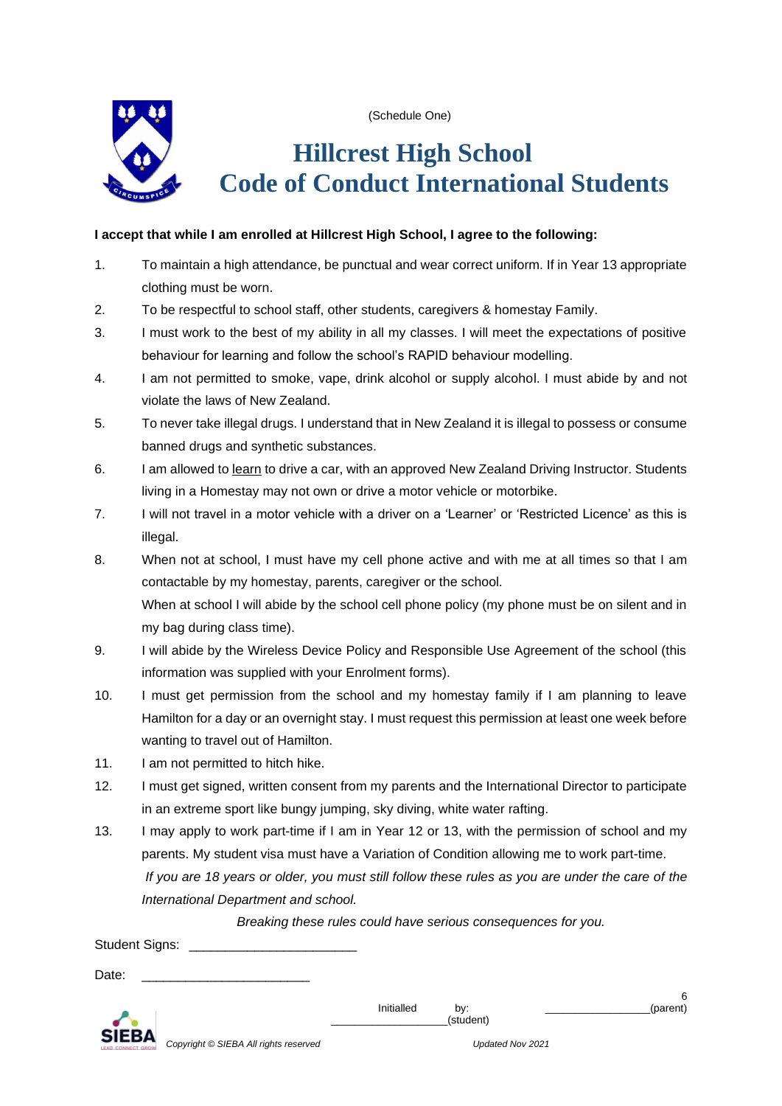

(Schedule One)

# **Hillcrest High School Code of Conduct International Students**

# **I accept that while I am enrolled at Hillcrest High School, I agree to the following:**

- 1. To maintain a high attendance, be punctual and wear correct uniform. If in Year 13 appropriate clothing must be worn.
- 2. To be respectful to school staff, other students, caregivers & homestay Family.
- 3. I must work to the best of my ability in all my classes. I will meet the expectations of positive behaviour for learning and follow the school's RAPID behaviour modelling.
- 4. I am not permitted to smoke, vape, drink alcohol or supply alcohol. I must abide by and not violate the laws of New Zealand.
- 5. To never take illegal drugs. I understand that in New Zealand it is illegal to possess or consume banned drugs and synthetic substances.
- 6. I am allowed to learn to drive a car, with an approved New Zealand Driving Instructor. Students living in a Homestay may not own or drive a motor vehicle or motorbike.
- 7. I will not travel in a motor vehicle with a driver on a 'Learner' or 'Restricted Licence' as this is illegal.
- 8. When not at school, I must have my cell phone active and with me at all times so that I am contactable by my homestay, parents, caregiver or the school. When at school I will abide by the school cell phone policy (my phone must be on silent and in my bag during class time).
- 9. I will abide by the Wireless Device Policy and Responsible Use Agreement of the school (this information was supplied with your Enrolment forms).
- 10. I must get permission from the school and my homestay family if I am planning to leave Hamilton for a day or an overnight stay. I must request this permission at least one week before wanting to travel out of Hamilton.
- 11. I am not permitted to hitch hike.
- 12. I must get signed, written consent from my parents and the International Director to participate in an extreme sport like bungy jumping, sky diving, white water rafting.
- 13. I may apply to work part-time if I am in Year 12 or 13, with the permission of school and my parents. My student visa must have a Variation of Condition allowing me to work part-time.  *If you are 18 years or older, you must still follow these rules as you are under the care of the International Department and school.*

 *Breaking these rules could have serious consequences for you.*

Student Signs:

Date:



Initialled by: \_\_\_\_\_\_\_\_\_\_\_\_\_\_\_\_\_\_\_\_\_(parent)

\_\_\_\_\_\_\_\_\_\_\_\_\_\_\_\_\_\_\_\_(student)

6

*Copyright © SIEBA All rights reserved Updated Nov 2021*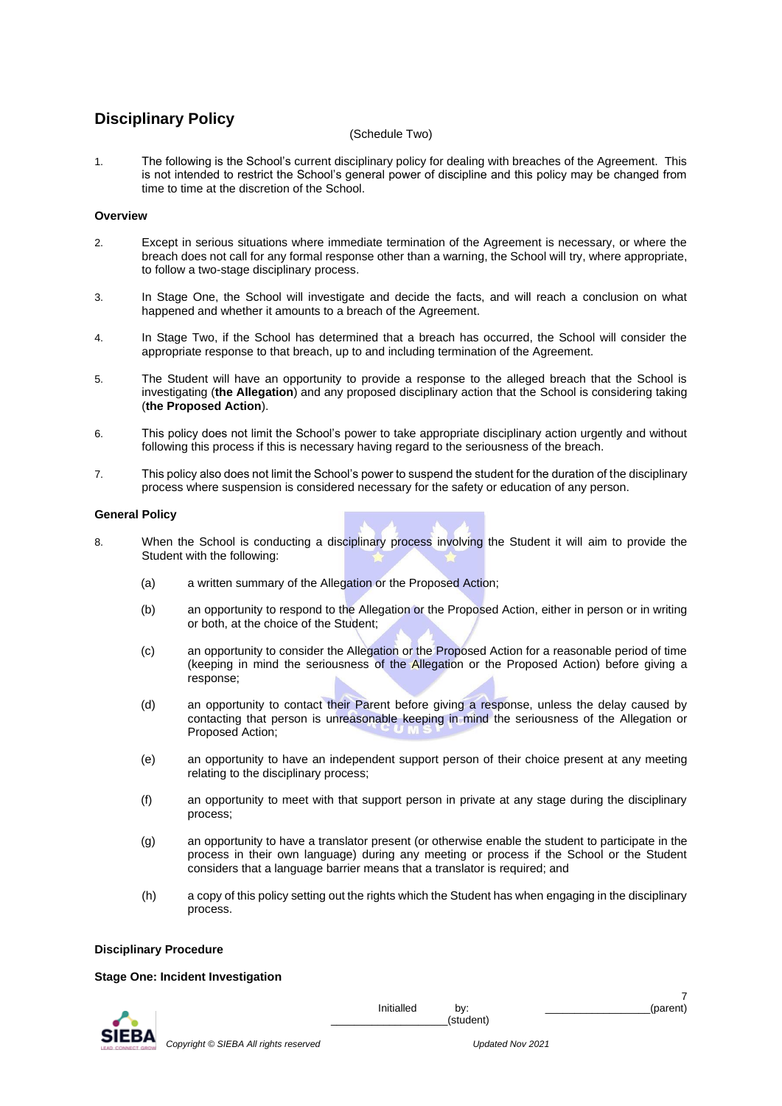# **Disciplinary Policy**

# (Schedule Two)

1. The following is the School's current disciplinary policy for dealing with breaches of the Agreement. This is not intended to restrict the School's general power of discipline and this policy may be changed from time to time at the discretion of the School.

# **Overview**

- 2. Except in serious situations where immediate termination of the Agreement is necessary, or where the breach does not call for any formal response other than a warning, the School will try, where appropriate, to follow a two-stage disciplinary process.
- 3. In Stage One, the School will investigate and decide the facts, and will reach a conclusion on what happened and whether it amounts to a breach of the Agreement.
- 4. In Stage Two, if the School has determined that a breach has occurred, the School will consider the appropriate response to that breach, up to and including termination of the Agreement.
- 5. The Student will have an opportunity to provide a response to the alleged breach that the School is investigating (**the Allegation**) and any proposed disciplinary action that the School is considering taking (**the Proposed Action**).
- 6. This policy does not limit the School's power to take appropriate disciplinary action urgently and without following this process if this is necessary having regard to the seriousness of the breach.
- 7. This policy also does not limit the School's power to suspend the student for the duration of the disciplinary process where suspension is considered necessary for the safety or education of any person.

# **General Policy**

- 8. When the School is conducting a disciplinary process involving the Student it will aim to provide the Student with the following:
	- (a) a written summary of the Allegation or the Proposed Action;
	- (b) an opportunity to respond to the Allegation or the Proposed Action, either in person or in writing or both, at the choice of the Student;
	- (c) an opportunity to consider the Allegation or the Proposed Action for a reasonable period of time (keeping in mind the seriousness of the Allegation or the Proposed Action) before giving a response;
	- (d) an opportunity to contact their Parent before giving a response, unless the delay caused by contacting that person is unreasonable keeping in mind the seriousness of the Allegation or Proposed Action;
	- (e) an opportunity to have an independent support person of their choice present at any meeting relating to the disciplinary process;
	- (f) an opportunity to meet with that support person in private at any stage during the disciplinary process;
	- (g) an opportunity to have a translator present (or otherwise enable the student to participate in the process in their own language) during any meeting or process if the School or the Student considers that a language barrier means that a translator is required; and
	- (h) a copy of this policy setting out the rights which the Student has when engaging in the disciplinary process.

# **Disciplinary Procedure**

# **Stage One: Incident Investigation**



Initialled by: \_\_\_\_\_\_\_\_\_\_\_\_\_\_\_\_\_\_\_\_\_(parent)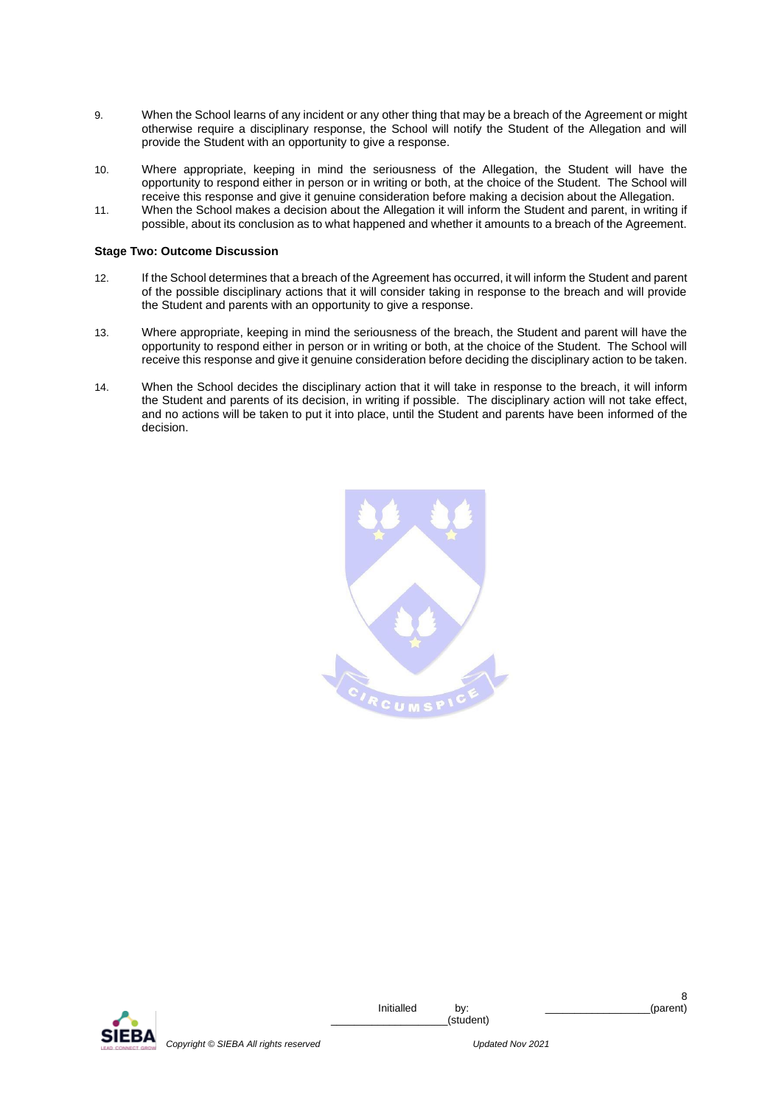- 9. When the School learns of any incident or any other thing that may be a breach of the Agreement or might otherwise require a disciplinary response, the School will notify the Student of the Allegation and will provide the Student with an opportunity to give a response.
- 10. Where appropriate, keeping in mind the seriousness of the Allegation, the Student will have the opportunity to respond either in person or in writing or both, at the choice of the Student. The School will receive this response and give it genuine consideration before making a decision about the Allegation.
- 11. When the School makes a decision about the Allegation it will inform the Student and parent, in writing if possible, about its conclusion as to what happened and whether it amounts to a breach of the Agreement.

# **Stage Two: Outcome Discussion**

- 12. If the School determines that a breach of the Agreement has occurred, it will inform the Student and parent of the possible disciplinary actions that it will consider taking in response to the breach and will provide the Student and parents with an opportunity to give a response.
- 13. Where appropriate, keeping in mind the seriousness of the breach, the Student and parent will have the opportunity to respond either in person or in writing or both, at the choice of the Student. The School will receive this response and give it genuine consideration before deciding the disciplinary action to be taken.
- 14. When the School decides the disciplinary action that it will take in response to the breach, it will inform the Student and parents of its decision, in writing if possible. The disciplinary action will not take effect, and no actions will be taken to put it into place, until the Student and parents have been informed of the decision.



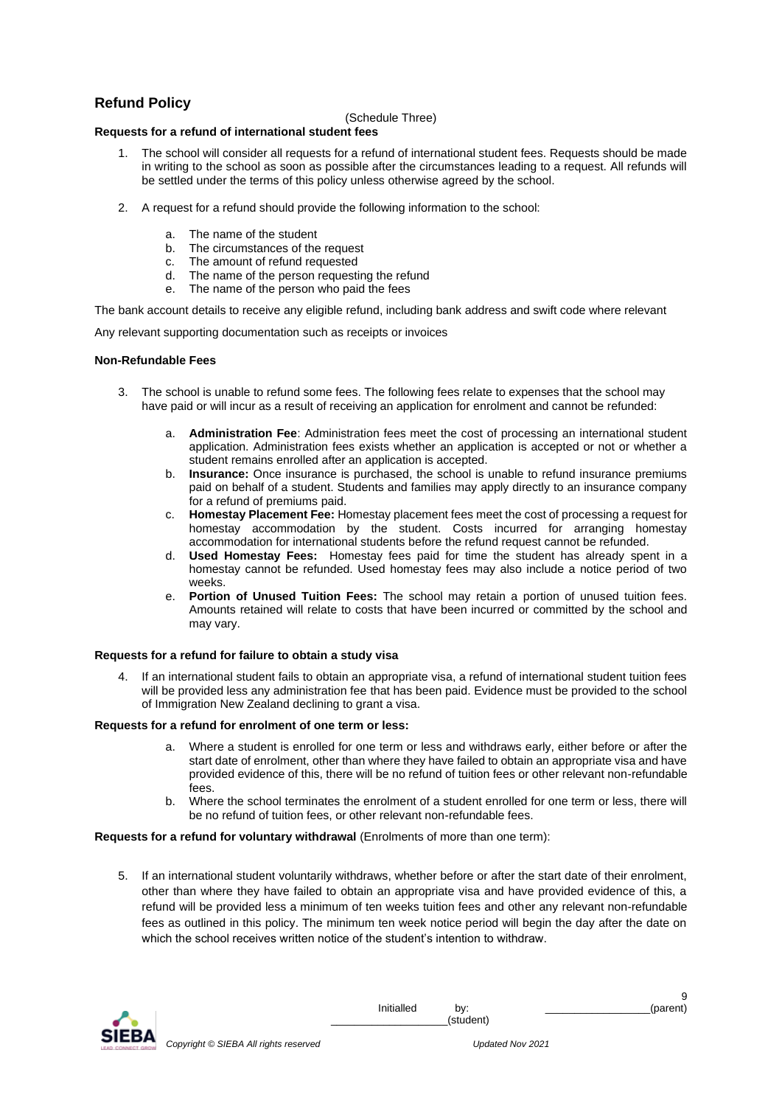# **Refund Policy**

# (Schedule Three)

# **Requests for a refund of international student fees**

- 1. The school will consider all requests for a refund of international student fees. Requests should be made in writing to the school as soon as possible after the circumstances leading to a request. All refunds will be settled under the terms of this policy unless otherwise agreed by the school.
- 2. A request for a refund should provide the following information to the school:
	- The name of the student
	- b. The circumstances of the request
	- c. The amount of refund requested
	- d. The name of the person requesting the refund
	- e. The name of the person who paid the fees

The bank account details to receive any eligible refund, including bank address and swift code where relevant

Any relevant supporting documentation such as receipts or invoices

# **Non-Refundable Fees**

- 3. The school is unable to refund some fees. The following fees relate to expenses that the school may have paid or will incur as a result of receiving an application for enrolment and cannot be refunded:
	- a. **Administration Fee**: Administration fees meet the cost of processing an international student application. Administration fees exists whether an application is accepted or not or whether a student remains enrolled after an application is accepted.
	- b. **Insurance:** Once insurance is purchased, the school is unable to refund insurance premiums paid on behalf of a student. Students and families may apply directly to an insurance company for a refund of premiums paid.
	- c. **Homestay Placement Fee:** Homestay placement fees meet the cost of processing a request for homestay accommodation by the student. Costs incurred for arranging homestay accommodation for international students before the refund request cannot be refunded.
	- d. **Used Homestay Fees:** Homestay fees paid for time the student has already spent in a homestay cannot be refunded. Used homestay fees may also include a notice period of two weeks.
	- Portion of Unused Tuition Fees: The school may retain a portion of unused tuition fees. Amounts retained will relate to costs that have been incurred or committed by the school and may vary.

# **Requests for a refund for failure to obtain a study visa**

4. If an international student fails to obtain an appropriate visa, a refund of international student tuition fees will be provided less any administration fee that has been paid. Evidence must be provided to the school of Immigration New Zealand declining to grant a visa.

# **Requests for a refund for enrolment of one term or less:**

- a. Where a student is enrolled for one term or less and withdraws early, either before or after the start date of enrolment, other than where they have failed to obtain an appropriate visa and have provided evidence of this, there will be no refund of tuition fees or other relevant non-refundable fees.
- b. Where the school terminates the enrolment of a student enrolled for one term or less, there will be no refund of tuition fees, or other relevant non-refundable fees.

# **Requests for a refund for voluntary withdrawal** (Enrolments of more than one term):

5. If an international student voluntarily withdraws, whether before or after the start date of their enrolment, other than where they have failed to obtain an appropriate visa and have provided evidence of this, a refund will be provided less a minimum of ten weeks tuition fees and other any relevant non-refundable fees as outlined in this policy. The minimum ten week notice period will begin the day after the date on which the school receives written notice of the student's intention to withdraw.



*Copyright © SIEBA All rights reserved Updated Nov 2021*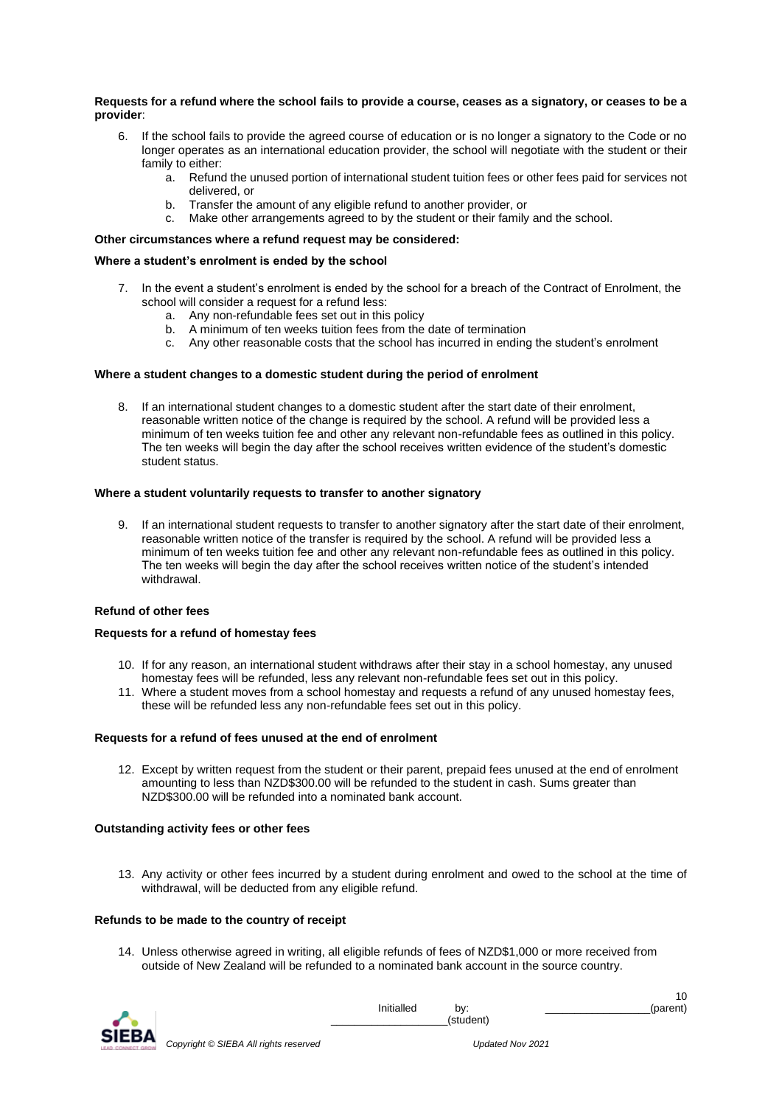# **Requests for a refund where the school fails to provide a course, ceases as a signatory, or ceases to be a provider**:

- 6. If the school fails to provide the agreed course of education or is no longer a signatory to the Code or no longer operates as an international education provider, the school will negotiate with the student or their family to either:
	- a. Refund the unused portion of international student tuition fees or other fees paid for services not delivered, or
	- b. Transfer the amount of any eligible refund to another provider, or
	- c. Make other arrangements agreed to by the student or their family and the school.

# **Other circumstances where a refund request may be considered:**

# **Where a student's enrolment is ended by the school**

- 7. In the event a student's enrolment is ended by the school for a breach of the Contract of Enrolment, the school will consider a request for a refund less:
	- a. Any non-refundable fees set out in this policy
	- b. A minimum of ten weeks tuition fees from the date of termination
	- c. Any other reasonable costs that the school has incurred in ending the student's enrolment

# **Where a student changes to a domestic student during the period of enrolment**

8. If an international student changes to a domestic student after the start date of their enrolment, reasonable written notice of the change is required by the school. A refund will be provided less a minimum of ten weeks tuition fee and other any relevant non-refundable fees as outlined in this policy. The ten weeks will begin the day after the school receives written evidence of the student's domestic student status.

# **Where a student voluntarily requests to transfer to another signatory**

9. If an international student requests to transfer to another signatory after the start date of their enrolment, reasonable written notice of the transfer is required by the school. A refund will be provided less a minimum of ten weeks tuition fee and other any relevant non-refundable fees as outlined in this policy. The ten weeks will begin the day after the school receives written notice of the student's intended withdrawal.

# **Refund of other fees**

# **Requests for a refund of homestay fees**

- 10. If for any reason, an international student withdraws after their stay in a school homestay, any unused homestay fees will be refunded, less any relevant non-refundable fees set out in this policy.
- 11. Where a student moves from a school homestay and requests a refund of any unused homestay fees, these will be refunded less any non-refundable fees set out in this policy.

# **Requests for a refund of fees unused at the end of enrolment**

12. Except by written request from the student or their parent, prepaid fees unused at the end of enrolment amounting to less than NZD\$300.00 will be refunded to the student in cash. Sums greater than NZD\$300.00 will be refunded into a nominated bank account.

# **Outstanding activity fees or other fees**

13. Any activity or other fees incurred by a student during enrolment and owed to the school at the time of withdrawal, will be deducted from any eligible refund.

# **Refunds to be made to the country of receipt**

14. Unless otherwise agreed in writing, all eligible refunds of fees of NZD\$1,000 or more received from outside of New Zealand will be refunded to a nominated bank account in the source country.